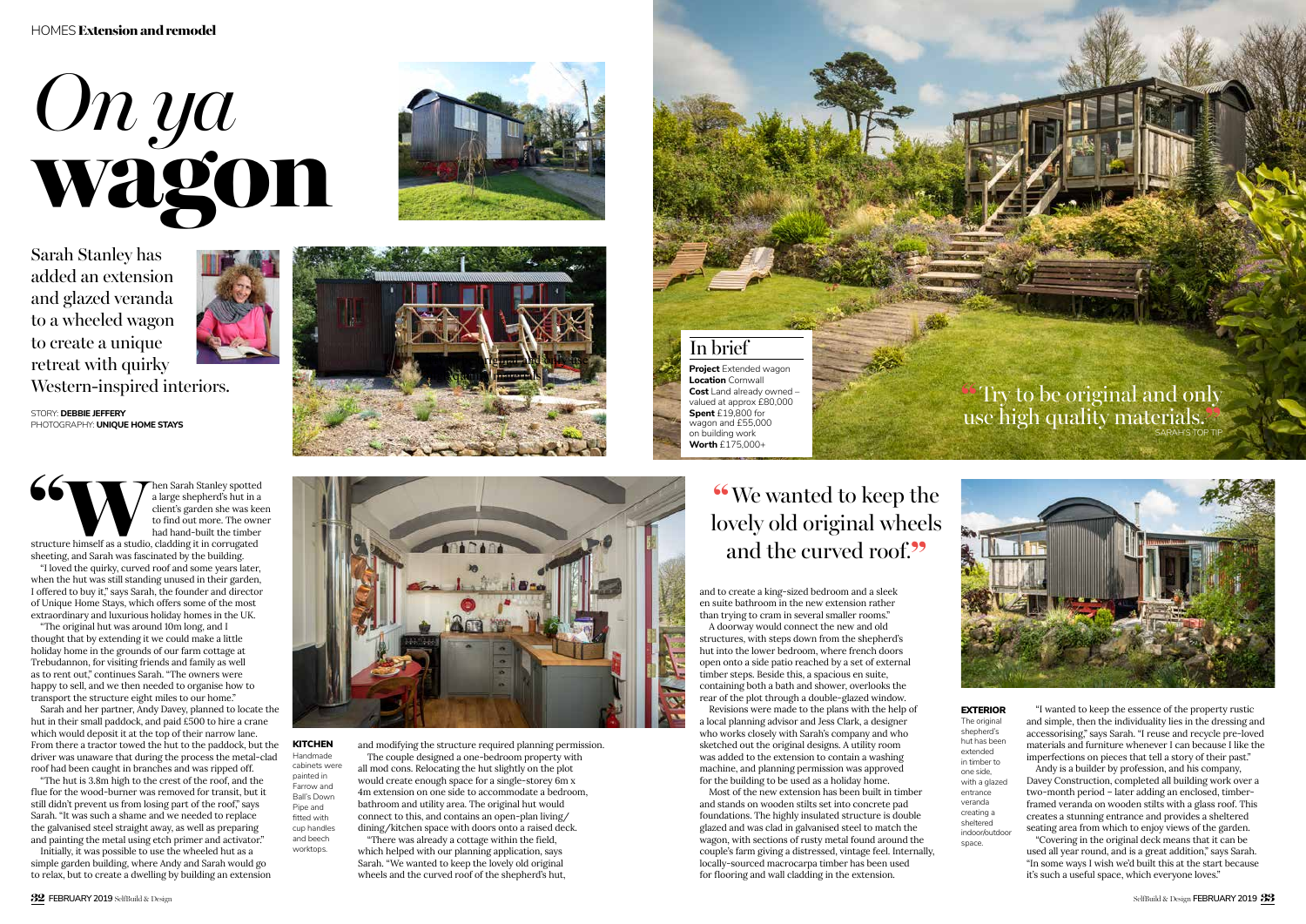### HOMES Extension and remodel



sheeting, and Sarah was fascinated by the building.

"I loved the quirky, curved roof and some years later, when the hut was still standing unused in their garden, I offered to buy it," says Sarah, the founder and director of Unique Home Stays, which offers some of the most extraordinary and luxurious holiday homes in the UK.

"The original hut was around 10m long, and I thought that by extending it we could make a little holiday home in the grounds of our farm cottage at Trebudannon, for visiting friends and family as well as to rent out," continues Sarah. "The owners were happy to sell, and we then needed to organise how to transport the structure eight miles to our home."

Sarah and her partner, Andy Davey, planned to locate the hut in their small paddock, and paid £500 to hire a crane which would deposit it at the top of their narrow lane. From there a tractor towed the hut to the paddock, but the driver was unaware that during the process the metal-clad roof had been caught in branches and was ripped off.

"The hut is 3.8m high to the crest of the roof, and the flue for the wood-burner was removed for transit, but it still didn't prevent us from losing part of the roof," says Sarah. "It was such a shame and we needed to replace the galvanised steel straight away, as well as preparing and painting the metal using etch primer and activator."

Initially, it was possible to use the wheeled hut as a simple garden building, where Andy and Sarah would go to relax, but to create a dwelling by building an extension In brief

**Project** Extended wagon **Location** Cornwall **Cost** Land already owned – valued at approx £80,000 **Spent** £19,800 for wagon and £55,000 on building work **Worth** £175,000+

STORY: **DEBBIE JEFFERY**  PHOTOGRAPHY: **UNIQUE HOME STAYS**

### EXTERIOR

shepherd's hut has been extended in timber to one side, with a glazed entrance veranda creating a sheltered indoor/outdoor space.



Sarah Stanley has added an extension and glazed veranda to a wheeled wagon to create a unique retreat with quirky Western-inspired interiors.



and modifying the structure required planning permission.

**KITCHEN** Handmade cabinets were painted in Farrow and Ball's Down Pipe and fitted with cup handles and beech worktops.

The couple designed a one-bedroom property with all mod cons. Relocating the hut slightly on the plot would create enough space for a single-storey 6m x 4m extension on one side to accommodate a bedroom, bathroom and utility area. The original hut would connect to this, and contains an open-plan living/ dining/kitchen space with doors onto a raised deck.

# "Try to be original and only use high quality materials.  $\mathbb{S}^{\mathbb{Z}}$



The original

"There was already a cottage within the field, which helped with our planning application, says Sarah. "We wanted to keep the lovely old original wheels and the curved roof of the shepherd's hut,

and to create a king-sized bedroom and a sleek en suite bathroom in the new extension rather than trying to cram in several smaller rooms."

A doorway would connect the new and old structures, with steps down from the shepherd's hut into the lower bedroom, where french doors open onto a side patio reached by a set of external timber steps. Beside this, a spacious en suite, containing both a bath and shower, overlooks the rear of the plot through a double-glazed window.

Revisions were made to the plans with the help of a local planning advisor and Jess Clark, a designer who works closely with Sarah's company and who sketched out the original designs. A utility room was added to the extension to contain a washing machine, and planning permission was approved for the building to be used as a holiday home.

Most of the new extension has been built in timber and stands on wooden stilts set into concrete pad foundations. The highly insulated structure is double glazed and was clad in galvanised steel to match the wagon, with sections of rusty metal found around the couple's farm giving a distressed, vintage feel. Internally, locally-sourced macrocarpa timber has been used for flooring and wall cladding in the extension.



"I wanted to keep the essence of the property rustic and simple, then the individuality lies in the dressing and accessorising," says Sarah. "I reuse and recycle pre-loved materials and furniture whenever I can because I like the imperfections on pieces that tell a story of their past."

Andy is a builder by profession, and his company, Davey Construction, completed all building work over a two-month period – later adding an enclosed, timberframed veranda on wooden stilts with a glass roof. This creates a stunning entrance and provides a sheltered seating area from which to enjoy views of the garden.

"Covering in the original deck means that it can be used all year round, and is a great addition," says Sarah. "In some ways I wish we'd built this at the start because it's such a useful space, which everyone loves."



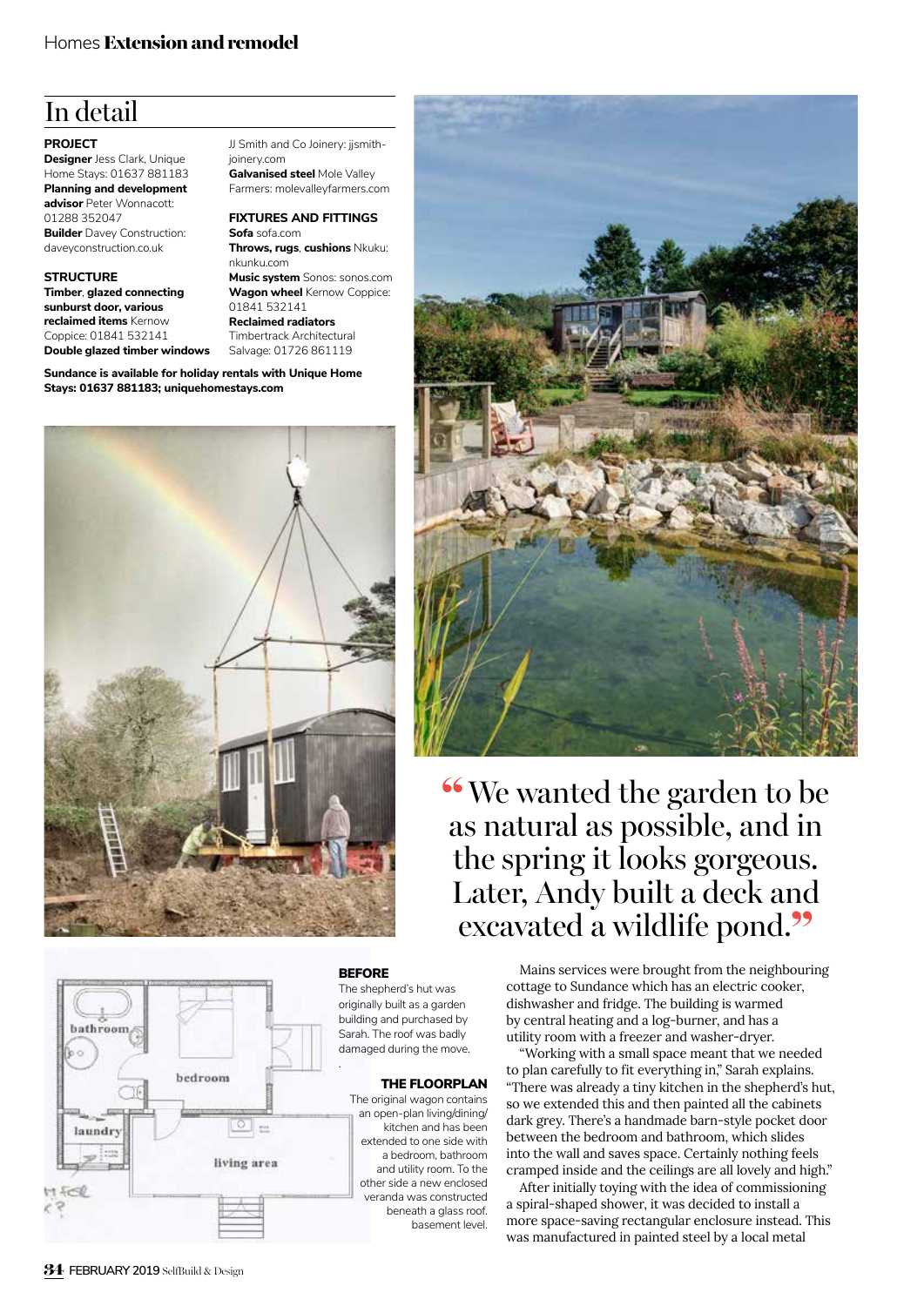# In detail

#### **PROJECT**

**Designer** Jess Clark, Unique Home Stays: 01637 881183 **Planning and development advisor** Peter Wonnacott: 01288 352047 **Builder** Davey Construction: daveyconstruction.co.uk

#### **STRUCTURE**

**Timber**, **glazed connecting sunburst door, various reclaimed items** Kernow Coppice: 01841 532141 **Double glazed timber windows** JJ Smith and Co Joinery: jjsmithjoinery.com **Galvanised steel** Mole Valley Farmers: molevalleyfarmers.com

### **FIXTURES AND FITTINGS**

**Sofa** sofa.com **Throws, rugs**, **cushions** Nkuku: nkunku.com **Music system** Sonos: sonos.com **Wagon wheel** Kernow Coppice: 01841 532141

**Reclaimed radiators** Timbertrack Architectural

Salvage: 01726 861119

**Sundance is available for holiday rentals with Unique Home Stays: 01637 881183; uniquehomestays.com**





#### **BEFORE**

The shepherd's hut was originally built as a garden building and purchased by Sarah. The roof was badly damaged during the move.

#### THE FLOORPLAN

The original wagon contains an open-plan living/dining/ kitchen and has been extended to one side with a bedroom, bathroom and utility room. To the other side a new enclosed veranda was constructed beneath a glass roof. basement level.



"We wanted the garden to be as natural as possible, and in the spring it looks gorgeous. Later, Andy built a deck and excavated a wildlife pond."

> Mains services were brought from the neighbouring cottage to Sundance which has an electric cooker, dishwasher and fridge. The building is warmed by central heating and a log-burner, and has a utility room with a freezer and washer-dryer.

"Working with a small space meant that we needed to plan carefully to fit everything in," Sarah explains. "There was already a tiny kitchen in the shepherd's hut, so we extended this and then painted all the cabinets dark grey. There's a handmade barn-style pocket door between the bedroom and bathroom, which slides into the wall and saves space. Certainly nothing feels cramped inside and the ceilings are all lovely and high."

After initially toying with the idea of commissioning a spiral-shaped shower, it was decided to install a more space-saving rectangular enclosure instead. This was manufactured in painted steel by a local metal